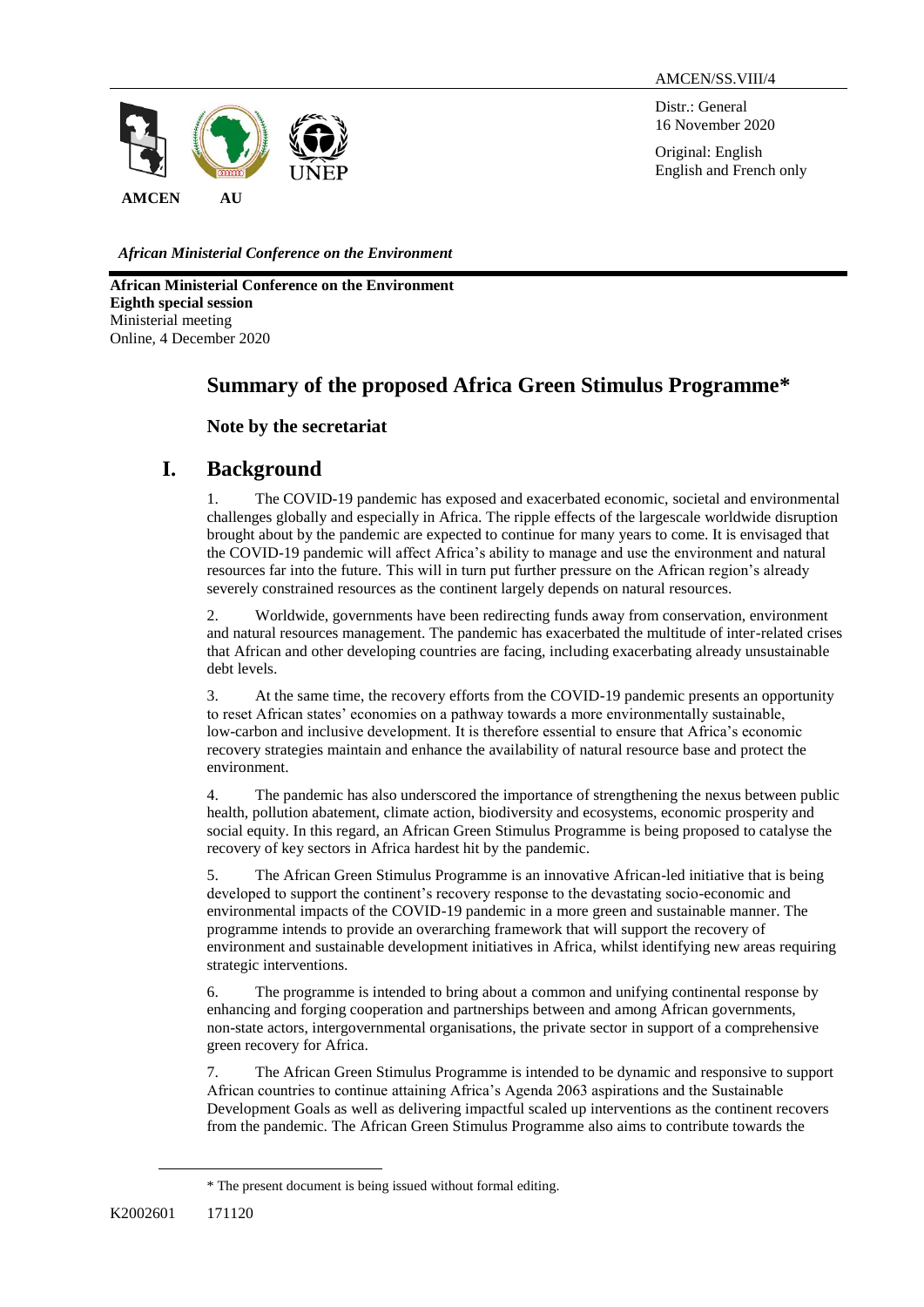AMCEN/SS.VIII/4

Distr.: General 16 November 2020

Original: English English and French only



*African Ministerial Conference on the Environment*

**African Ministerial Conference on the Environment Eighth special session** Ministerial meeting Online, 4 December 2020

# **Summary of the proposed Africa Green Stimulus Programme\***

## **Note by the secretariat**

# **I. Background**

1. The COVID-19 pandemic has exposed and exacerbated economic, societal and environmental challenges globally and especially in Africa. The ripple effects of the largescale worldwide disruption brought about by the pandemic are expected to continue for many years to come. It is envisaged that the COVID-19 pandemic will affect Africa's ability to manage and use the environment and natural resources far into the future. This will in turn put further pressure on the African region's already severely constrained resources as the continent largely depends on natural resources.

2. Worldwide, governments have been redirecting funds away from conservation, environment and natural resources management. The pandemic has exacerbated the multitude of inter-related crises that African and other developing countries are facing, including exacerbating already unsustainable debt levels.

3. At the same time, the recovery efforts from the COVID-19 pandemic presents an opportunity to reset African states' economies on a pathway towards a more environmentally sustainable, low-carbon and inclusive development. It is therefore essential to ensure that Africa's economic recovery strategies maintain and enhance the availability of natural resource base and protect the environment.

4. The pandemic has also underscored the importance of strengthening the nexus between public health, pollution abatement, climate action, biodiversity and ecosystems, economic prosperity and social equity. In this regard, an African Green Stimulus Programme is being proposed to catalyse the recovery of key sectors in Africa hardest hit by the pandemic.

5. The African Green Stimulus Programme is an innovative African-led initiative that is being developed to support the continent's recovery response to the devastating socio-economic and environmental impacts of the COVID-19 pandemic in a more green and sustainable manner. The programme intends to provide an overarching framework that will support the recovery of environment and sustainable development initiatives in Africa, whilst identifying new areas requiring strategic interventions.

6. The programme is intended to bring about a common and unifying continental response by enhancing and forging cooperation and partnerships between and among African governments, non-state actors, intergovernmental organisations, the private sector in support of a comprehensive green recovery for Africa.

7. The African Green Stimulus Programme is intended to be dynamic and responsive to support African countries to continue attaining Africa's Agenda 2063 aspirations and the Sustainable Development Goals as well as delivering impactful scaled up interventions as the continent recovers from the pandemic. The African Green Stimulus Programme also aims to contribute towards the

 $\overline{a}$ 

<sup>\*</sup> The present document is being issued without formal editing.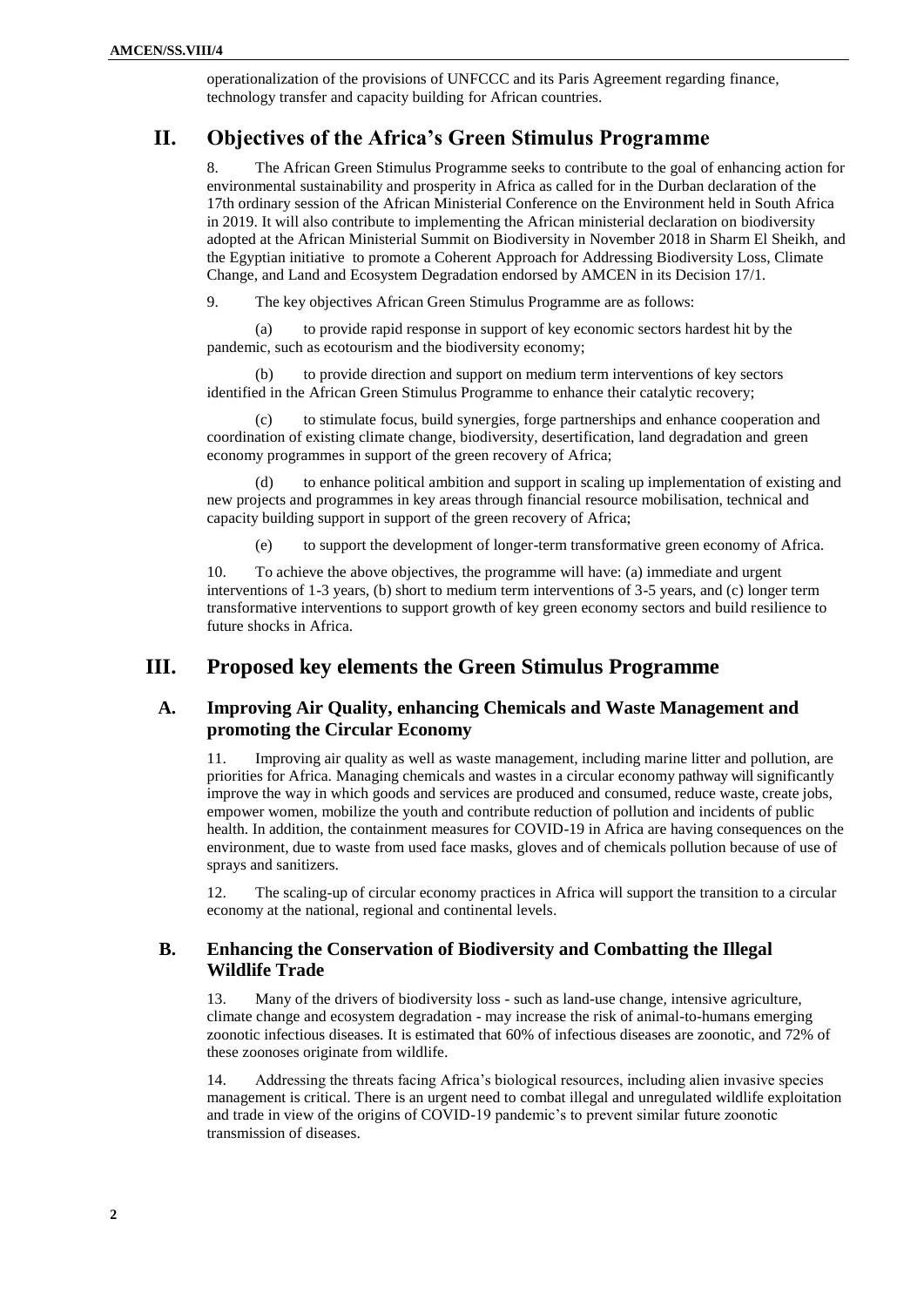operationalization of the provisions of UNFCCC and its Paris Agreement regarding finance, technology transfer and capacity building for African countries.

## **II. Objectives of the Africa's Green Stimulus Programme**

8. The African Green Stimulus Programme seeks to contribute to the goal of enhancing action for environmental sustainability and prosperity in Africa as called for in the Durban declaration of the 17th ordinary session of the African Ministerial Conference on the Environment held in South Africa in 2019. It will also contribute to implementing the African ministerial declaration on biodiversity adopted at the African Ministerial Summit on Biodiversity in November 2018 in Sharm El Sheikh, and the Egyptian initiative to promote a Coherent Approach for Addressing Biodiversity Loss, Climate Change, and Land and Ecosystem Degradation endorsed by AMCEN in its Decision 17/1.

9. The key objectives African Green Stimulus Programme are as follows:

(a) to provide rapid response in support of key economic sectors hardest hit by the pandemic, such as ecotourism and the biodiversity economy;

(b) to provide direction and support on medium term interventions of key sectors identified in the African Green Stimulus Programme to enhance their catalytic recovery;

(c) to stimulate focus, build synergies, forge partnerships and enhance cooperation and coordination of existing climate change, biodiversity, desertification, land degradation and green economy programmes in support of the green recovery of Africa;

to enhance political ambition and support in scaling up implementation of existing and new projects and programmes in key areas through financial resource mobilisation, technical and capacity building support in support of the green recovery of Africa;

(e) to support the development of longer-term transformative green economy of Africa.

10. To achieve the above objectives, the programme will have: (a) immediate and urgent interventions of 1-3 years, (b) short to medium term interventions of 3-5 years, and (c) longer term transformative interventions to support growth of key green economy sectors and build resilience to future shocks in Africa.

# **III. Proposed key elements the Green Stimulus Programme**

### **A. Improving Air Quality, enhancing Chemicals and Waste Management and promoting the Circular Economy**

11. Improving air quality as well as waste management, including marine litter and pollution, are priorities for Africa. Managing chemicals and wastes in a circular economy pathway will significantly improve the way in which goods and services are produced and consumed, reduce waste, create jobs, empower women, mobilize the youth and contribute reduction of pollution and incidents of public health. In addition, the containment measures for COVID-19 in Africa are having consequences on the environment, due to waste from used face masks, gloves and of chemicals pollution because of use of sprays and sanitizers.

12. The scaling-up of circular economy practices in Africa will support the transition to a circular economy at the national, regional and continental levels.

### **B. Enhancing the Conservation of Biodiversity and Combatting the Illegal Wildlife Trade**

13. Many of the drivers of biodiversity loss - such as land-use change, intensive agriculture, climate change and ecosystem degradation - may increase the risk of animal-to-humans emerging zoonotic infectious diseases. It is estimated that 60% of infectious diseases are zoonotic, and 72% of these zoonoses originate from wildlife.

14. Addressing the threats facing Africa's biological resources, including alien invasive species management is critical. There is an urgent need to combat illegal and unregulated wildlife exploitation and trade in view of the origins of COVID-19 pandemic's to prevent similar future zoonotic transmission of diseases.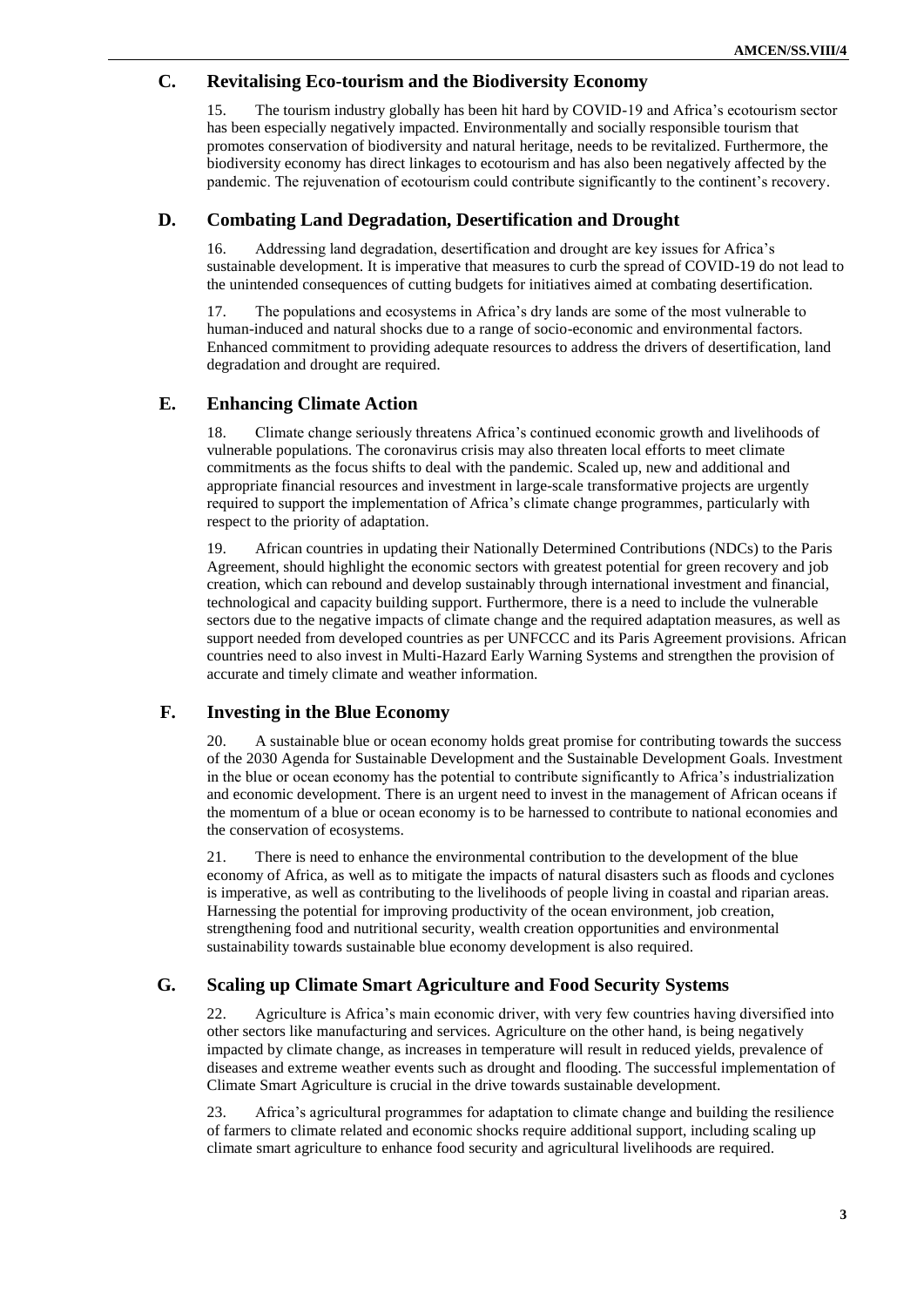### **C. Revitalising Eco-tourism and the Biodiversity Economy**

15. The tourism industry globally has been hit hard by COVID-19 and Africa's ecotourism sector has been especially negatively impacted. Environmentally and socially responsible tourism that promotes conservation of biodiversity and natural heritage, needs to be revitalized. Furthermore, the biodiversity economy has direct linkages to ecotourism and has also been negatively affected by the pandemic. The rejuvenation of ecotourism could contribute significantly to the continent's recovery.

#### **D. Combating Land Degradation, Desertification and Drought**

16. Addressing land degradation, desertification and drought are key issues for Africa's sustainable development. It is imperative that measures to curb the spread of COVID-19 do not lead to the unintended consequences of cutting budgets for initiatives aimed at combating desertification.

17. The populations and ecosystems in Africa's dry lands are some of the most vulnerable to human-induced and natural shocks due to a range of socio-economic and environmental factors. Enhanced commitment to providing adequate resources to address the drivers of desertification, land degradation and drought are required.

### **E. Enhancing Climate Action**

18. Climate change seriously threatens Africa's continued economic growth and livelihoods of vulnerable populations. The coronavirus crisis may also threaten local efforts to meet climate commitments as the focus shifts to deal with the pandemic. Scaled up, new and additional and appropriate financial resources and investment in large-scale transformative projects are urgently required to support the implementation of Africa's climate change programmes, particularly with respect to the priority of adaptation.

19. African countries in updating their Nationally Determined Contributions (NDCs) to the Paris Agreement, should highlight the economic sectors with greatest potential for green recovery and job creation, which can rebound and develop sustainably through international investment and financial, technological and capacity building support. Furthermore, there is a need to include the vulnerable sectors due to the negative impacts of climate change and the required adaptation measures, as well as support needed from developed countries as per UNFCCC and its Paris Agreement provisions. African countries need to also invest in Multi-Hazard Early Warning Systems and strengthen the provision of accurate and timely climate and weather information.

#### **F. Investing in the Blue Economy**

20. A sustainable blue or ocean economy holds great promise for contributing towards the success of the 2030 Agenda for Sustainable Development and the Sustainable Development Goals. Investment in the blue or ocean economy has the potential to contribute significantly to Africa's industrialization and economic development. There is an urgent need to invest in the management of African oceans if the momentum of a blue or ocean economy is to be harnessed to contribute to national economies and the conservation of ecosystems.

21. There is need to enhance the environmental contribution to the development of the blue economy of Africa, as well as to mitigate the impacts of natural disasters such as floods and cyclones is imperative, as well as contributing to the livelihoods of people living in coastal and riparian areas. Harnessing the potential for improving productivity of the ocean environment, job creation, strengthening food and nutritional security, wealth creation opportunities and environmental sustainability towards sustainable blue economy development is also required.

#### **G. Scaling up Climate Smart Agriculture and Food Security Systems**

22. Agriculture is Africa's main economic driver, with very few countries having diversified into other sectors like manufacturing and services. Agriculture on the other hand, is being negatively impacted by climate change, as increases in temperature will result in reduced yields, prevalence of diseases and extreme weather events such as drought and flooding. The successful implementation of Climate Smart Agriculture is crucial in the drive towards sustainable development.

23. Africa's agricultural programmes for adaptation to climate change and building the resilience of farmers to climate related and economic shocks require additional support, including scaling up climate smart agriculture to enhance food security and agricultural livelihoods are required.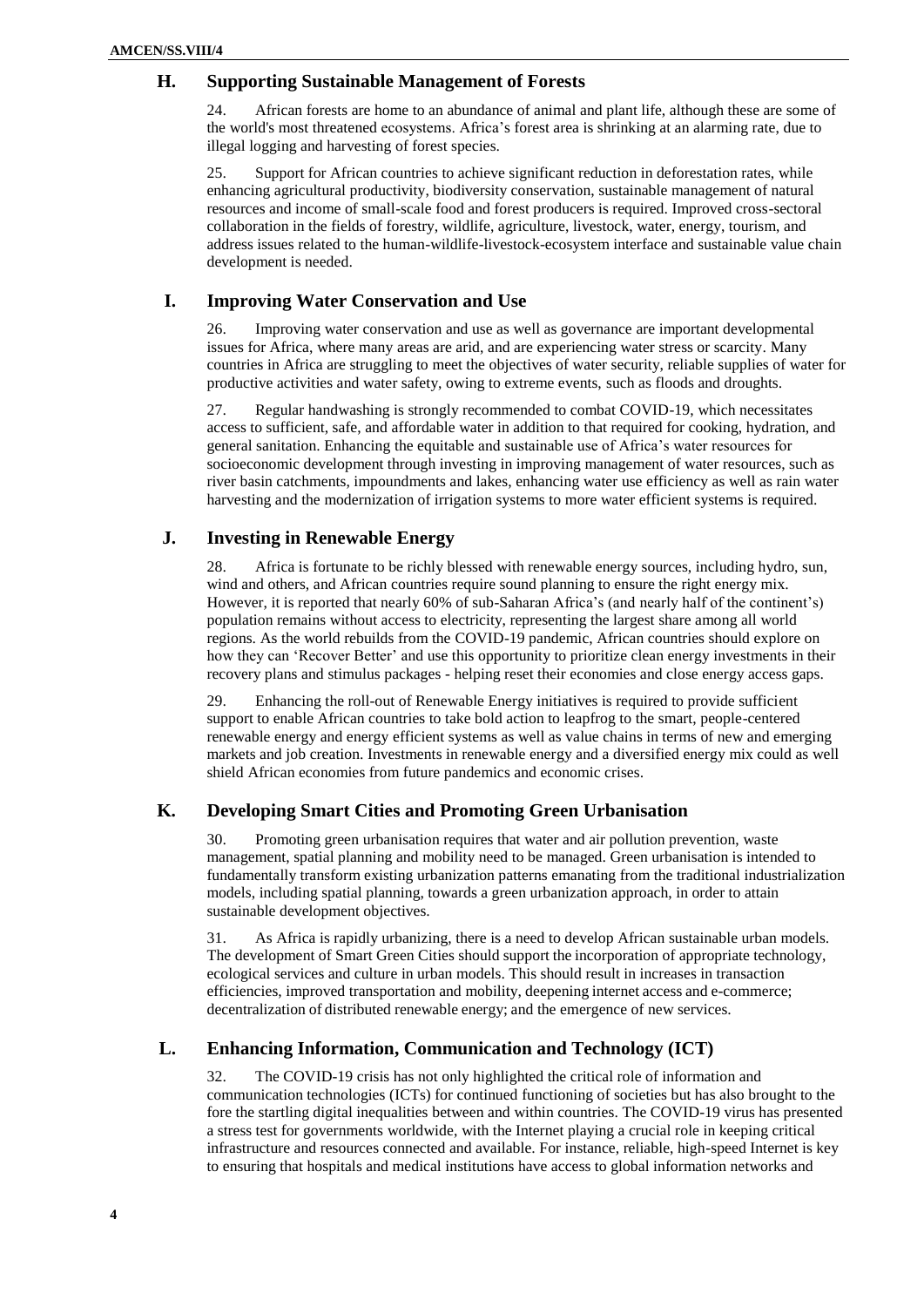#### **H. Supporting Sustainable Management of Forests**

24. African forests are home to an abundance of animal and plant life, although these are some of the world's most threatened ecosystems. Africa's forest area is shrinking at an alarming rate, due to illegal logging and harvesting of forest species.

25. Support for African countries to achieve significant reduction in deforestation rates, while enhancing agricultural productivity, biodiversity conservation, sustainable management of natural resources and income of small-scale food and forest producers is required. Improved cross-sectoral collaboration in the fields of forestry, wildlife, agriculture, livestock, water, energy, tourism, and address issues related to the human-wildlife-livestock-ecosystem interface and sustainable value chain development is needed.

#### **I. Improving Water Conservation and Use**

26. Improving water conservation and use as well as governance are important developmental issues for Africa, where many areas are arid, and are experiencing water stress or scarcity. Many countries in Africa are struggling to meet the objectives of water security, reliable supplies of water for productive activities and water safety, owing to extreme events, such as floods and droughts.

27. Regular handwashing is strongly recommended to combat COVID-19, which necessitates access to sufficient, safe, and affordable water in addition to that required for cooking, hydration, and general sanitation. Enhancing the equitable and sustainable use of Africa's water resources for socioeconomic development through investing in improving management of water resources, such as river basin catchments, impoundments and lakes, enhancing water use efficiency as well as rain water harvesting and the modernization of irrigation systems to more water efficient systems is required.

#### **J. Investing in Renewable Energy**

28. Africa is fortunate to be richly blessed with renewable energy sources, including hydro, sun, wind and others, and African countries require sound planning to ensure the right energy mix. However, it is reported that nearly 60% of sub-Saharan Africa's (and nearly half of the continent's) population remains without access to electricity, representing the largest share among all world regions. As the world rebuilds from the COVID-19 pandemic, African countries should explore on how they can 'Recover Better' and use this opportunity to prioritize clean energy investments in their recovery plans and stimulus packages - helping reset their economies and close energy access gaps.

29. Enhancing the roll-out of Renewable Energy initiatives is required to provide sufficient support to enable African countries to take bold action to leapfrog to the smart, people-centered renewable energy and energy efficient systems as well as value chains in terms of new and emerging markets and job creation. Investments in renewable energy and a diversified energy mix could as well shield African economies from future pandemics and economic crises.

## **K. Developing Smart Cities and Promoting Green Urbanisation**

30. Promoting green urbanisation requires that water and air pollution prevention, waste management, spatial planning and mobility need to be managed. Green urbanisation is intended to fundamentally transform existing urbanization patterns emanating from the traditional industrialization models, including spatial planning, towards a green urbanization approach, in order to attain sustainable development objectives.

31. As Africa is rapidly urbanizing, there is a need to develop African sustainable urban models. The development of Smart Green Cities should support the incorporation of appropriate technology, ecological services and culture in urban models. This should result in increases in transaction efficiencies, improved transportation and mobility, deepening internet access and e-commerce; decentralization of distributed renewable energy; and the emergence of new services.

#### **L. Enhancing Information, Communication and Technology (ICT)**

32. The COVID-19 crisis has not only highlighted the critical role of information and communication technologies (ICTs) for continued functioning of societies but has also brought to the fore the startling digital inequalities between and within countries. The COVID-19 virus has presented a stress test for governments worldwide, with the Internet playing a crucial role in keeping critical infrastructure and resources connected and available. For instance, reliable, high-speed Internet is key to ensuring that hospitals and medical institutions have access to global information networks and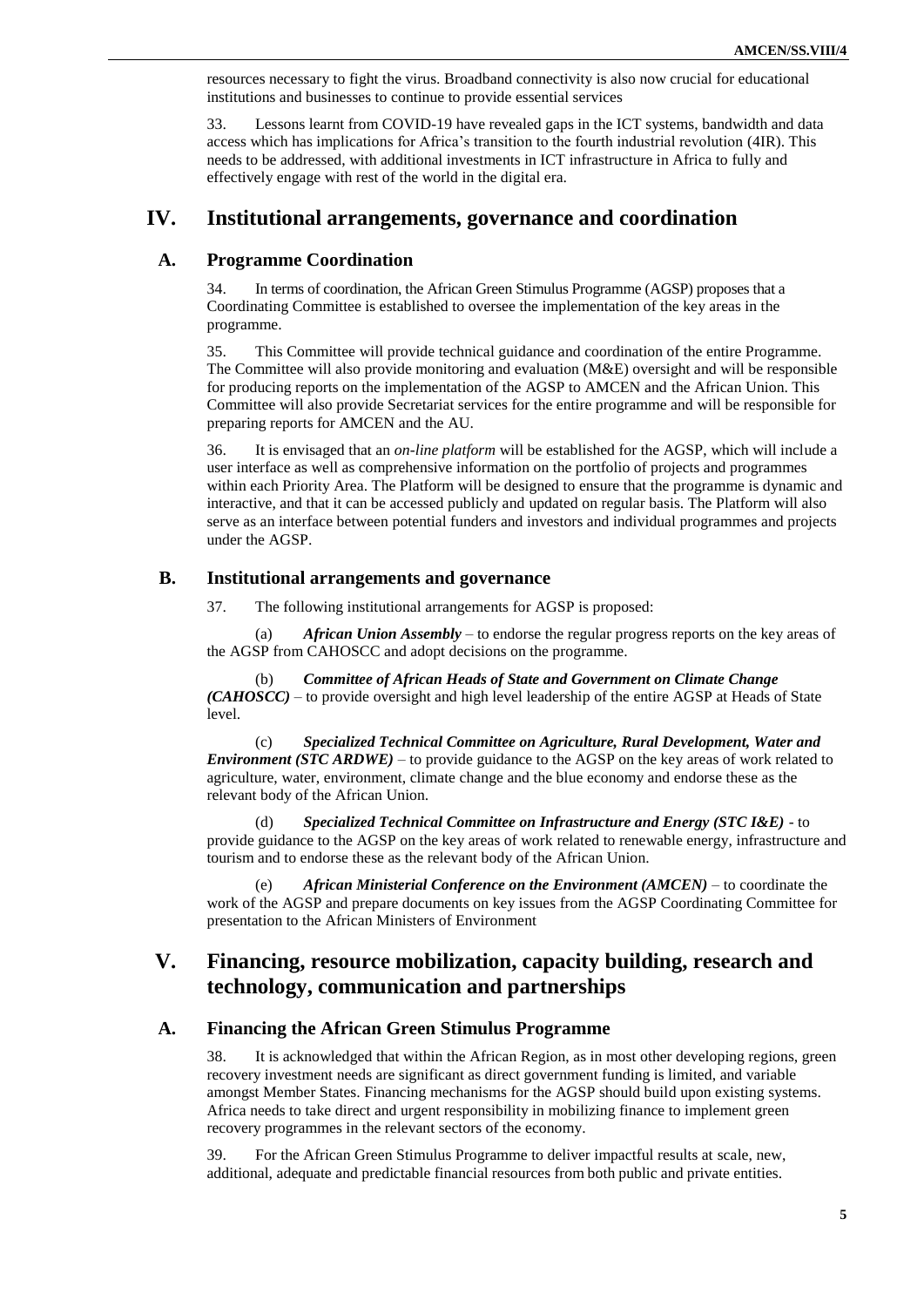resources necessary to fight the virus. Broadband connectivity is also now crucial for educational institutions and businesses to continue to provide essential services

33. Lessons learnt from COVID-19 have revealed gaps in the ICT systems, bandwidth and data access which has implications for Africa's transition to the fourth industrial revolution (4IR). This needs to be addressed, with additional investments in ICT infrastructure in Africa to fully and effectively engage with rest of the world in the digital era.

## **IV. Institutional arrangements, governance and coordination**

#### **A. Programme Coordination**

34. In terms of coordination, the African Green Stimulus Programme (AGSP) proposes that a Coordinating Committee is established to oversee the implementation of the key areas in the programme.

35. This Committee will provide technical guidance and coordination of the entire Programme. The Committee will also provide monitoring and evaluation (M&E) oversight and will be responsible for producing reports on the implementation of the AGSP to AMCEN and the African Union. This Committee will also provide Secretariat services for the entire programme and will be responsible for preparing reports for AMCEN and the AU.

36. It is envisaged that an *on-line platform* will be established for the AGSP, which will include a user interface as well as comprehensive information on the portfolio of projects and programmes within each Priority Area. The Platform will be designed to ensure that the programme is dynamic and interactive, and that it can be accessed publicly and updated on regular basis. The Platform will also serve as an interface between potential funders and investors and individual programmes and projects under the AGSP.

#### **B. Institutional arrangements and governance**

37. The following institutional arrangements for AGSP is proposed:

(a) *African Union Assembly* – to endorse the regular progress reports on the key areas of the AGSP from CAHOSCC and adopt decisions on the programme.

(b) *Committee of African Heads of State and Government on Climate Change (CAHOSCC)* – to provide oversight and high level leadership of the entire AGSP at Heads of State level.

(c) *Specialized Technical Committee on Agriculture, Rural Development, Water and Environment (STC ARDWE)* – to provide guidance to the AGSP on the key areas of work related to agriculture, water, environment, climate change and the blue economy and endorse these as the relevant body of the African Union.

(d) *Specialized Technical Committee on Infrastructure and Energy (STC I&E)* - to provide guidance to the AGSP on the key areas of work related to renewable energy, infrastructure and tourism and to endorse these as the relevant body of the African Union.

(e) *African Ministerial Conference on the Environment (AMCEN)* – to coordinate the work of the AGSP and prepare documents on key issues from the AGSP Coordinating Committee for presentation to the African Ministers of Environment

# **V. Financing, resource mobilization, capacity building, research and technology, communication and partnerships**

#### **A. Financing the African Green Stimulus Programme**

38. It is acknowledged that within the African Region, as in most other developing regions, green recovery investment needs are significant as direct government funding is limited, and variable amongst Member States. Financing mechanisms for the AGSP should build upon existing systems. Africa needs to take direct and urgent responsibility in mobilizing finance to implement green recovery programmes in the relevant sectors of the economy.

39. For the African Green Stimulus Programme to deliver impactful results at scale, new, additional, adequate and predictable financial resources from both public and private entities.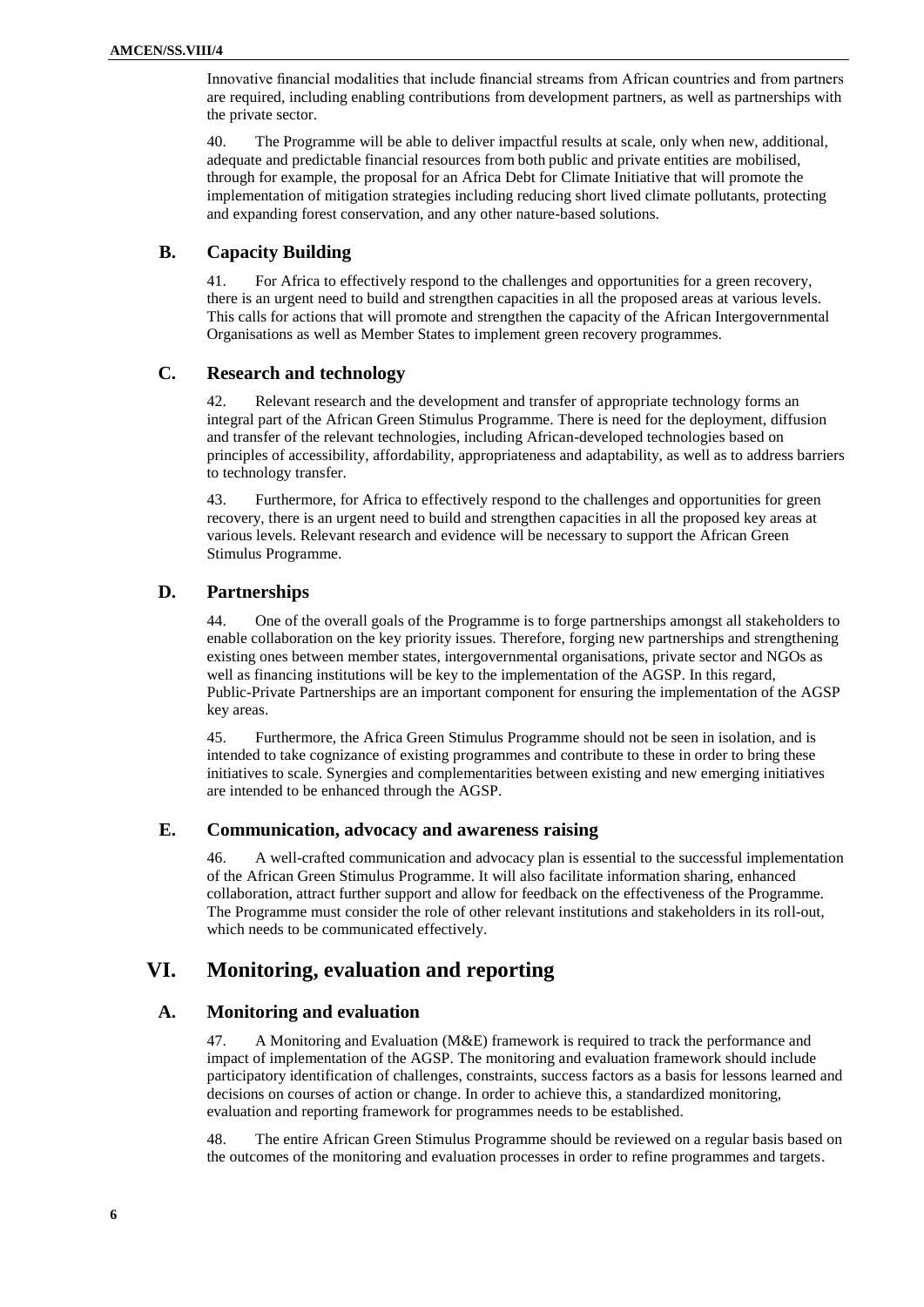Innovative financial modalities that include financial streams from African countries and from partners are required, including enabling contributions from development partners, as well as partnerships with the private sector.

40. The Programme will be able to deliver impactful results at scale, only when new, additional, adequate and predictable financial resources from both public and private entities are mobilised, through for example, the proposal for an Africa Debt for Climate Initiative that will promote the implementation of mitigation strategies including reducing short lived climate pollutants, protecting and expanding forest conservation, and any other nature-based solutions.

### **B. Capacity Building**

41. For Africa to effectively respond to the challenges and opportunities for a green recovery, there is an urgent need to build and strengthen capacities in all the proposed areas at various levels. This calls for actions that will promote and strengthen the capacity of the African Intergovernmental Organisations as well as Member States to implement green recovery programmes.

## **C. Research and technology**

42. Relevant research and the development and transfer of appropriate technology forms an integral part of the African Green Stimulus Programme. There is need for the deployment, diffusion and transfer of the relevant technologies, including African-developed technologies based on principles of accessibility, affordability, appropriateness and adaptability, as well as to address barriers to technology transfer.

43. Furthermore, for Africa to effectively respond to the challenges and opportunities for green recovery, there is an urgent need to build and strengthen capacities in all the proposed key areas at various levels. Relevant research and evidence will be necessary to support the African Green Stimulus Programme.

#### **D. Partnerships**

44. One of the overall goals of the Programme is to forge partnerships amongst all stakeholders to enable collaboration on the key priority issues. Therefore, forging new partnerships and strengthening existing ones between member states, intergovernmental organisations, private sector and NGOs as well as financing institutions will be key to the implementation of the AGSP. In this regard, Public-Private Partnerships are an important component for ensuring the implementation of the AGSP key areas.

45. Furthermore, the Africa Green Stimulus Programme should not be seen in isolation, and is intended to take cognizance of existing programmes and contribute to these in order to bring these initiatives to scale. Synergies and complementarities between existing and new emerging initiatives are intended to be enhanced through the AGSP.

#### **E. Communication, advocacy and awareness raising**

46. A well-crafted communication and advocacy plan is essential to the successful implementation of the African Green Stimulus Programme. It will also facilitate information sharing, enhanced collaboration, attract further support and allow for feedback on the effectiveness of the Programme. The Programme must consider the role of other relevant institutions and stakeholders in its roll-out, which needs to be communicated effectively.

## **VI. Monitoring, evaluation and reporting**

#### **A. Monitoring and evaluation**

47. A Monitoring and Evaluation (M&E) framework is required to track the performance and impact of implementation of the AGSP. The monitoring and evaluation framework should include participatory identification of challenges, constraints, success factors as a basis for lessons learned and decisions on courses of action or change. In order to achieve this, a standardized monitoring, evaluation and reporting framework for programmes needs to be established.

48. The entire African Green Stimulus Programme should be reviewed on a regular basis based on the outcomes of the monitoring and evaluation processes in order to refine programmes and targets.